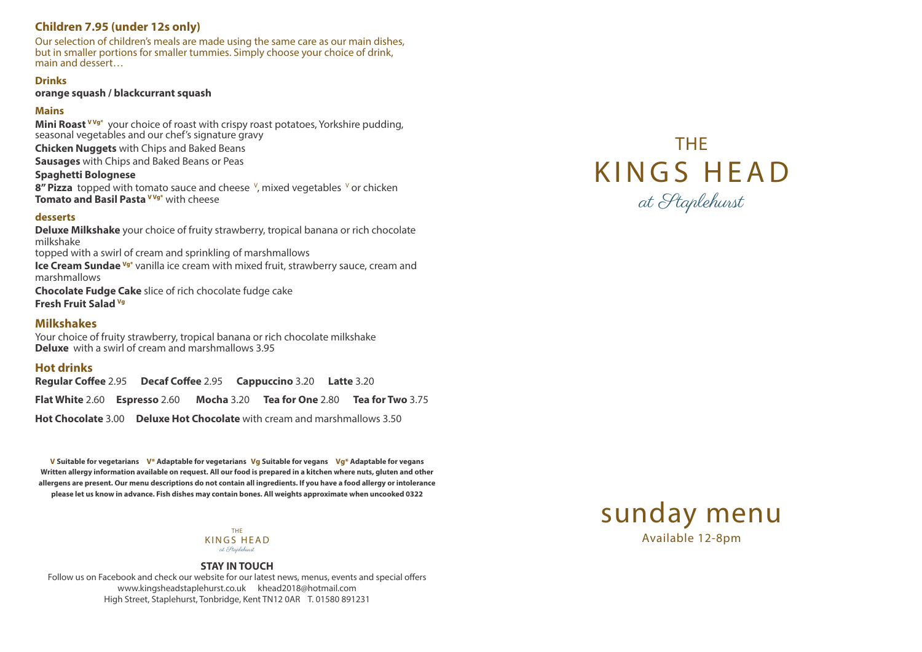### **STAY IN TOUCH**

Follow us on Facebook and check our website for our latest news, menus, events and special offers www.kingsheadstaplehurst.co.uk khead2018@hotmail.com High Street, Staplehurst, Tonbridge, Kent TN12 0AR T. 01580 891231





THE KINGS HEAD at Staplehurst



# **Children 7.95 (under 12s only)**

**Mini Roast <sup>VVg\*</sup>** your choice of roast with crispy roast potatoes, Yorkshire pudding, seasonal vegetables and our chef's signature gravy

Our selection of children's meals are made using the same care as our main dishes, but in smaller portions for smaller tummies. Simply choose your choice of drink, main and dessert…

### **Drinks**

**orange squash / blackcurrant squash**

### **Mains**

**Chicken Nuggets** with Chips and Baked Beans

**Sausages** with Chips and Baked Beans or Peas

### **Spaghetti Bolognese**

**8" Pizza** topped with tomato sauce and cheese <sup>v</sup>, mixed vegetables <sup>v</sup> or chicken **Tomato and Basil Pasta<sup>VVg\*</sup> with cheese** 

### **desserts**

**Deluxe Milkshake** your choice of fruity strawberry, tropical banana or rich chocolate milkshake topped with a swirl of cream and sprinkling of marshmallows **Ice Cream Sundae Vg<sup>\*</sup>** vanilla ice cream with mixed fruit, strawberry sauce, cream and marshmallows **Chocolate Fudge Cake** slice of rich chocolate fudge cake

**Fresh Fruit Salad Vg**

## **Milkshakes**

Your choice of fruity strawberry, tropical banana or rich chocolate milkshake **Deluxe** with a swirl of cream and marshmallows 3.95

# **Hot drinks**

**Regular Coffee** 2.95 **Decaf Coffee** 2.95 **Cappuccino** 3.20 **Latte** 3.20 **Flat White** 2.60 **Espresso** 2.60 **Mocha** 3.20 **Tea for One** 2.80 **Tea for Two** 3.75 **Hot Chocolate** 3.00 **Deluxe Hot Chocolate** with cream and marshmallows 3.50

**V Suitable for vegetarians V\* Adaptable for vegetarians Vg Suitable for vegans Vg\* Adaptable for vegans Written allergy information available on request. All our food is prepared in a kitchen where nuts, gluten and other allergens are present. Our menu descriptions do not contain all ingredients. If you have a food allergy or intolerance please let us know in advance. Fish dishes may contain bones. All weights approximate when uncooked 0322**